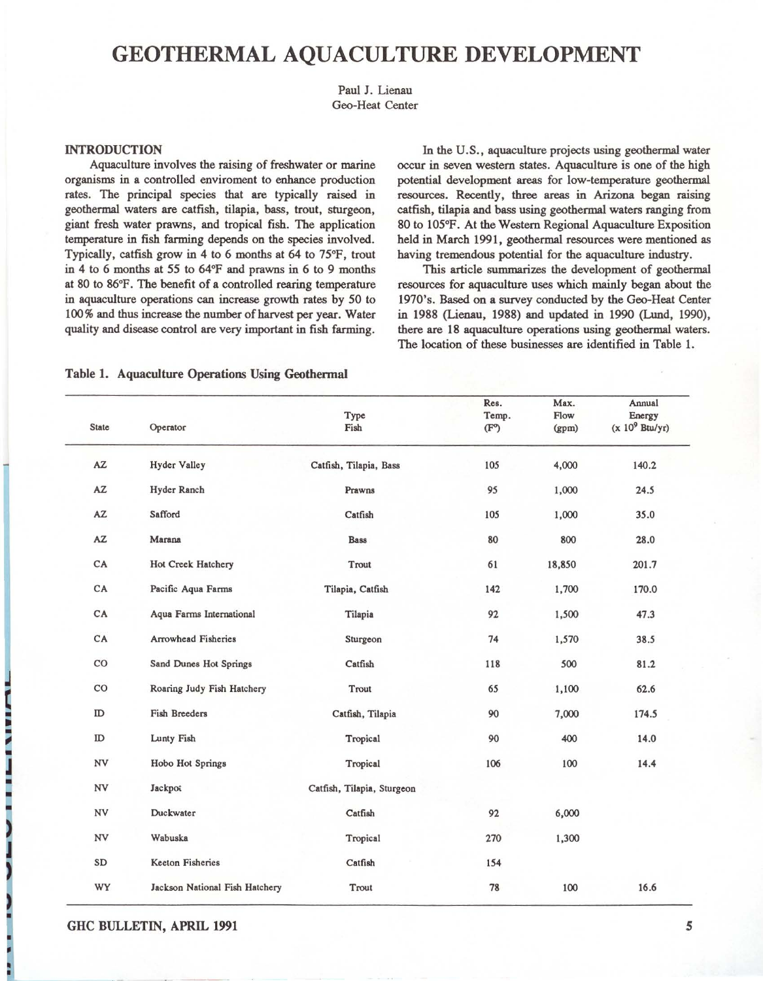# GEOTHERMAL AQUACULTURE DEVELOPMENT

Paul J. Lienau Geo-Heat Center

# INTRODUCTION

Aquaculture involves the raising of freshwater or marine **organisms in a controlled enviroment to enhance production**  rates. The principal species that are typically raised in geothermal waters are catfish, tilapia, bass, trout, sturgeon, giant fresh water prawns, and tropical fish. The application temperature in fish farming depends on the species involved. Typically, catfish grow in 4 to 6 months at 64 to 75°F, trout in 4 to 6 months at 55 to 64°F and prawns in 6 to 9 months at 80 to 86°F. The benefit of a controlled rearing temperature in aquaculture operations can increase growth rates by 50 to 100% and thus increase the number of harvest per year . Water quality and disease control are very important in fish farming.

In the U.S., aquaculture projects using geothermal water occur in seven western states. Aquaculture is one of the high potential development areas for low-temperature geothermal resources. Recently, three areas in Arizona began raising catfish, tilapia and bass using geothermal waters ranging from 80 to 105°F. At the Western Regional Aquaculture Exposition held in March 1991, geothermal resources were mentioned as having tremendous potential for the aquaculture industry.

This article summarizes the development of geothermal resources for aquaculture uses which mainly began about the 1970's. Based on a survey conducted by the Geo-Heat Center in 1988 (lienau, 1988) and updated in 1990 (Lund, 1990), there are 18 aquaculture operations using geothermal waters. The location of these businesses are identified in Table 1.

# Table 1. Aquaculture Operations Using Geothermal

| <b>State</b>  | Operator                       | Type<br>Fish               | Res.<br>Temp.<br>(F <sup>o</sup> ) | Max.<br>Flow<br>(gpm) | Annual<br>Energy<br>$(x 10^9$ Btu/yr) |
|---------------|--------------------------------|----------------------------|------------------------------------|-----------------------|---------------------------------------|
| AZ            | <b>Hyder Valley</b>            | Catfish, Tilapia, Bass     | 105                                | 4,000                 | 140.2                                 |
| AZ            | Hyder Ranch                    | Prawns                     | 95                                 | 1,000                 | 24.5                                  |
| AZ.           | Safford                        | Catfish                    | 105                                | 1,000                 | 35.0                                  |
| AZ            | Marana                         | <b>Bass</b>                | 80                                 | 800                   | 28.0                                  |
| CA            | Hot Creek Hatchery             | Trout                      | 61                                 | 18,850                | 201.7                                 |
| CA            | Pacific Aqua Farms             | Tilapia, Catfish           | 142                                | 1,700                 | 170.0                                 |
| CA            | Aqua Farms International       | Tilapia                    | 92                                 | 1,500                 | 47.3                                  |
| CA            | <b>Arrowhead Fisheries</b>     | Sturgeon                   | 74                                 | 1,570                 | 38.5                                  |
| $_{\rm CO}$   | Sand Dunes Hot Springs         | Catfish                    | 118                                | 500                   | 81.2                                  |
| $_{\rm CO}$   | Roaring Judy Fish Hatchery     | Trout                      | 65                                 | 1,100                 | 62.6                                  |
| ID            | <b>Fish Breeders</b>           | Catfish, Tilapia           | 90                                 | 7,000                 | 174.5                                 |
| $\rm ID$      | Lunty Fish                     | Tropical                   | 90                                 | 400                   | 14.0                                  |
| NV            | Hobo Hot Springs               | Tropical                   | 106                                | 100                   | 14.4                                  |
| NV            | Jackpot                        | Catfish, Tilapia, Sturgeon |                                    |                       |                                       |
| NV            | Duckwater                      | Catfish                    | 92                                 | 6,000                 |                                       |
| ${\hbox{NV}}$ | Wabuska                        | Tropical                   | 270                                | 1,300                 |                                       |
| SD            | <b>Keeton Fisheries</b>        | Catfish                    | 154                                |                       |                                       |
| WY            | Jackson National Fish Hatchery | Trout                      | 78                                 | 100                   | 16.6                                  |

GHC BULLETIN, APRIL 1991 5

U.

~ • Ii • ~

~

•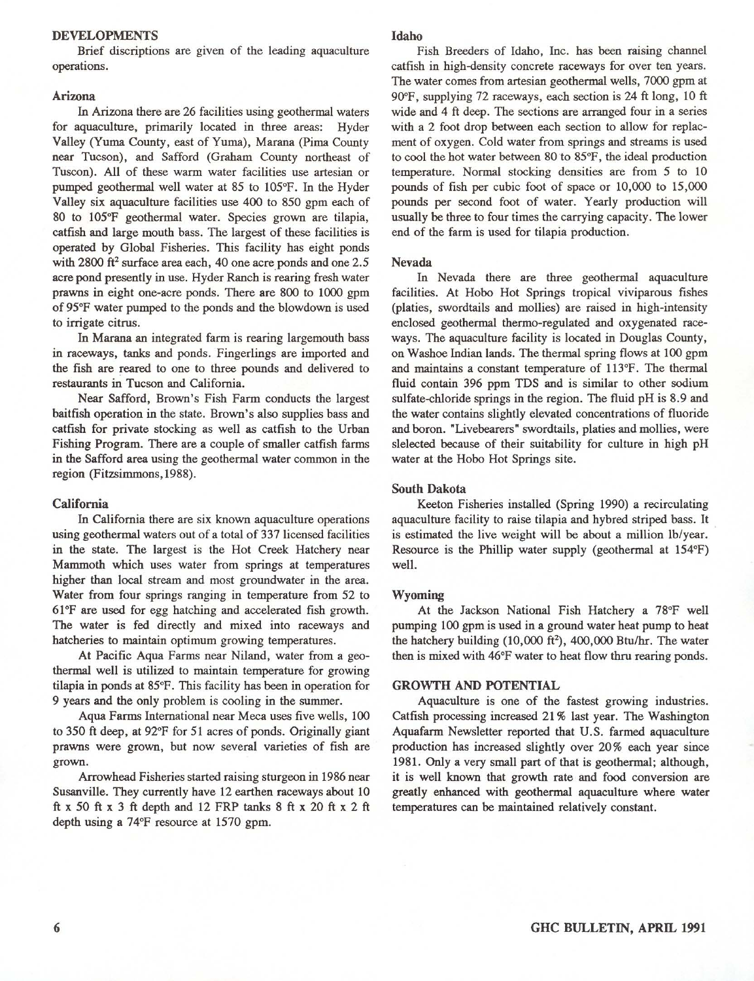## DEVELOPMENTS

Brief discriptions are given of the leading aquaculture **operations.** 

# Arizona

In Arizona there are 26 facilities using geothermal waters for aquaculture, primarily located in three areas: Hyder Valley (Yuma County, east of Yuma), Marana (Pima County near Tucson), and Safford (Graham County northeast of **Tuscon). All of these warm water facilities use artesian or**  pumped geothermal well water at 85 to 105°F. In the Hyder Valley six aquaculture facilities use 400 to 850 gpm each of 80 to 105°F geothermal water. Species grown are tilapia, catfish and large mouth bass. The largest of these facilities is operated by Global Fisheries. This facility has eight ponds with  $2800$  ft<sup>2</sup> surface area each, 40 one acre ponds and one  $2.5$ acre pond presently in use. Hyder Ranch is rearing fresh water prawns in eight one-acre ponds. There are 800 to 1000 gpm of 95°F water pumped to the ponds and the blowdown is used **to irrigate citrus.** 

In Marana an integrated farm is rearing largemouth bass **in raceways, tanks and ponds. Fingerlings are imported and**  the fish are reared to one to three pounds and delivered to restaurants in Tucson and California.

Near Safford, Brown's Fish Farm conducts the largest baitfish operation in the state. Brown's also supplies bass and catfish for private stocking as well as catfish to the Urban Fishing Program. There are a couple of smaller catfish farms **in the Safford area using the geothermal water common in the**  region (Fitzsimmons, 1988).

## California

**In California there are six known aquaculture operations**  using geothermal waters out of a total of 337 licensed facilities in the state. The largest is the Hot Creek Hatchery near **Mammoth which uses water from springs at temperatures**  higher than local stream and most groundwater in the area. Water from four springs ranging in temperature from 52 to 61°F are used for egg hatching and accelerated fish growth. The water is fed directly and mixed into raceways and **hatcheries to maintain optimum growing temperatures.** 

At Pacific Aqua Farms near Niland, water from a geothermal well is utilized to maintain temperature for growing tilapia in ponds at 85°F. This facility has been in operation for 9 years and the only problem is cooling in the summer.

Aqua Farms International near Meca uses five wells, 100 to 350 ft deep, at 92°F for 51 acres of ponds. Originally giant prawns were grown, but now several varieties of fish are grown.

Arrowhead Fisheries started raising sturgeon in 1986 near Susanville. They currently have 12 earthen raceways about 10 ft x 50 ft x 3 ft depth and 12 FRP tanks 8 ft x 20 ft x 2 ft depth using a 74°F resource at 1570 gpm.

## Idaho

Fish Breeders of Idaho, Inc. has been raising channel **catfish in high-density concrete raceways for over ten years.**  The water comes from artesian geothermal wells, 7000 gpm at 90°F, supplying 72 raceways, each section is 24 ft long, 10 ft wide and 4 ft deep. The sections are arranged four in a series with a 2 foot drop between each section to allow for replac**ment of oxygen. Cold water from springs and streams is used**  to cool the hot water between 80 to 85°F, the ideal production temperature. Normal stocking densities are from 5 to 10 pounds of fish per cubic foot of space or 10,000 to 15,000 pounds per second foot of water. Yearly production will usually be three to four times the carrying capacity. The lower end of the farm is used for tilapia production.

#### Nevada

In Nevada there are three geothermal aquaculture facilities. At Hobo Hot Springs tropical viviparous fishes (platies, swordtails and mollies) are raised in high-intensity enclosed geothermal thermo-regulated and oxygenated raceways. The aquaculture facility is located in Douglas County, on Washoe Indian lands. The thermal spring flows at 100 gpm and maintains a constant temperature of 113°F. The thermal fluid contain 396 ppm TDS and is similar to other sodium sulfate-chloride springs in the region. The fluid pH is 8.9 and the water contains slightly elevated concentrations of fluoride and boron. "Livebearers" swordtails, platies and mollies, were slelected because of their suitability for culture in high pH water at the Hobo Hot Springs site.

# South Dakota

Keeton Fisheries installed (Spring 1990) a recirculating aquaculture facility to raise tilapia and hybred striped bass. It is estimated the live weight will be about a million Ib/year. Resource is the Phillip water supply (geothermal at 154°F) well.

# Wyoming

At the Jackson National Fish Hatchery a 78°F well pumping 100 gpm is used in a ground water heat pump to heat the hatchery building  $(10,000 \text{ ft}^2)$ ,  $400,000 \text{ Btu/hr}$ . The water then is mixed with 46°F water to heat flow thru rearing ponds.

# GROWTH AND POTENTIAL

Aquaculture is one of the fastest growing industries. Catfish processing increased 21 % last year. The Washington Aquafarrn Newsletter reported that U.S. farmed aquaculture production has increased slightly over 20% each year since 1981. Only a very small part of that is geothermal; although, it is well known that growth rate and food conversion are greatly enhanced with geothermal aquaculture where water temperatures can be maintained relatively constant.